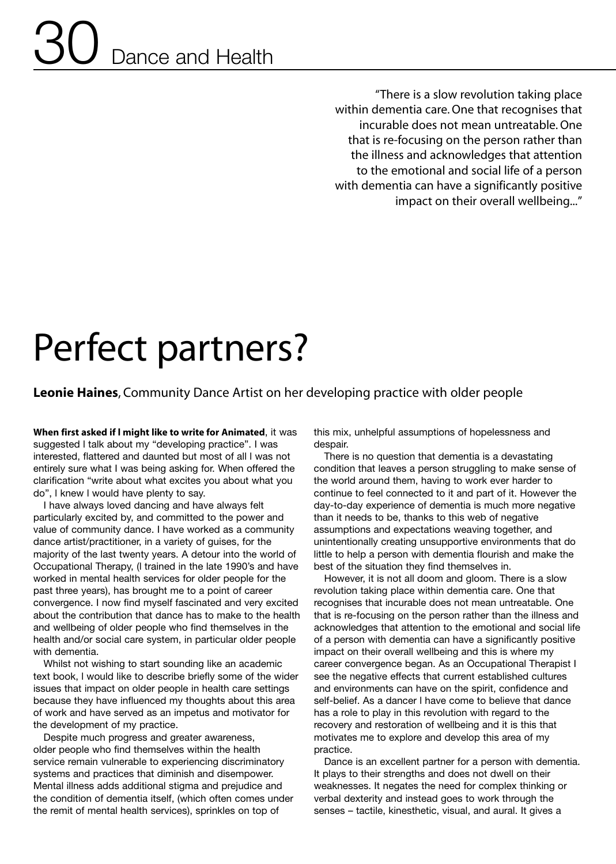## Dance and Health 30

"There is a slow revolution taking place within dementia care.One that recognises that incurable does not mean untreatable.One that is re-focusing on the person rather than the illness and acknowledges that attention to the emotional and social life of a person with dementia can have a significantly positive impact on their overall wellbeing..."

## Perfect partners?

**Leonie Haines**, Community Dance Artist on her developing practice with older people

**When first asked if l might like to write for Animated**, it was suggested l talk about my "developing practice". I was interested, flattered and daunted but most of all l was not entirely sure what I was being asking for. When offered the clarification "write about what excites you about what you do", l knew l would have plenty to say.

I have always loved dancing and have always felt particularly excited by, and committed to the power and value of community dance. I have worked as a community dance artist/practitioner, in a variety of guises, for the majority of the last twenty years. A detour into the world of Occupational Therapy, (l trained in the late 1990's and have worked in mental health services for older people for the past three years), has brought me to a point of career convergence. I now find myself fascinated and very excited about the contribution that dance has to make to the health and wellbeing of older people who find themselves in the health and/or social care system, in particular older people with dementia.

Whilst not wishing to start sounding like an academic text book, l would like to describe briefly some of the wider issues that impact on older people in health care settings because they have influenced my thoughts about this area of work and have served as an impetus and motivator for the development of my practice.

Despite much progress and greater awareness, older people who find themselves within the health service remain vulnerable to experiencing discriminatory systems and practices that diminish and disempower. Mental illness adds additional stigma and prejudice and the condition of dementia itself, (which often comes under the remit of mental health services), sprinkles on top of

this mix, unhelpful assumptions of hopelessness and despair.

There is no question that dementia is a devastating condition that leaves a person struggling to make sense of the world around them, having to work ever harder to continue to feel connected to it and part of it. However the day-to-day experience of dementia is much more negative than it needs to be, thanks to this web of negative assumptions and expectations weaving together, and unintentionally creating unsupportive environments that do little to help a person with dementia flourish and make the best of the situation they find themselves in.

However, it is not all doom and gloom. There is a slow revolution taking place within dementia care. One that recognises that incurable does not mean untreatable. One that is re-focusing on the person rather than the illness and acknowledges that attention to the emotional and social life of a person with dementia can have a significantly positive impact on their overall wellbeing and this is where my career convergence began. As an Occupational Therapist I see the negative effects that current established cultures and environments can have on the spirit, confidence and self-belief. As a dancer I have come to believe that dance has a role to play in this revolution with regard to the recovery and restoration of wellbeing and it is this that motivates me to explore and develop this area of my practice.

Dance is an excellent partner for a person with dementia. It plays to their strengths and does not dwell on their weaknesses. It negates the need for complex thinking or verbal dexterity and instead goes to work through the senses – tactile, kinesthetic, visual, and aural. It gives a